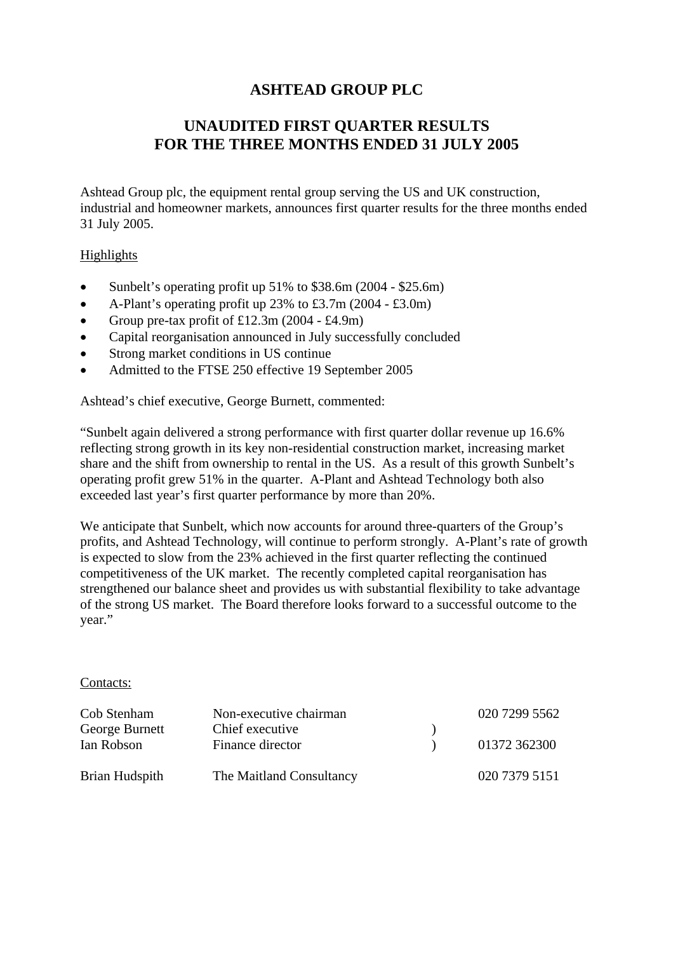# **ASHTEAD GROUP PLC**

# **UNAUDITED FIRST QUARTER RESULTS FOR THE THREE MONTHS ENDED 31 JULY 2005**

Ashtead Group plc, the equipment rental group serving the US and UK construction, industrial and homeowner markets, announces first quarter results for the three months ended 31 July 2005.

### Highlights

- Sunbelt's operating profit up 51% to \$38.6m (2004 \$25.6m)
- A-Plant's operating profit up 23% to £3.7m (2004 £3.0m)
- Group pre-tax profit of  $£12.3m(2004 £4.9m)$
- Capital reorganisation announced in July successfully concluded
- Strong market conditions in US continue
- Admitted to the FTSE 250 effective 19 September 2005

Ashtead's chief executive, George Burnett, commented:

"Sunbelt again delivered a strong performance with first quarter dollar revenue up 16.6% reflecting strong growth in its key non-residential construction market, increasing market share and the shift from ownership to rental in the US. As a result of this growth Sunbelt's operating profit grew 51% in the quarter. A-Plant and Ashtead Technology both also exceeded last year's first quarter performance by more than 20%.

We anticipate that Sunbelt, which now accounts for around three-quarters of the Group's profits, and Ashtead Technology, will continue to perform strongly. A-Plant's rate of growth is expected to slow from the 23% achieved in the first quarter reflecting the continued competitiveness of the UK market. The recently completed capital reorganisation has strengthened our balance sheet and provides us with substantial flexibility to take advantage of the strong US market. The Board therefore looks forward to a successful outcome to the year."

#### Contacts:

| Cob Stenham    | Non-executive chairman   | 020 7299 5562 |
|----------------|--------------------------|---------------|
| George Burnett | Chief executive          |               |
| Ian Robson     | Finance director         | 01372 362300  |
| Brian Hudspith | The Maitland Consultancy | 020 7379 5151 |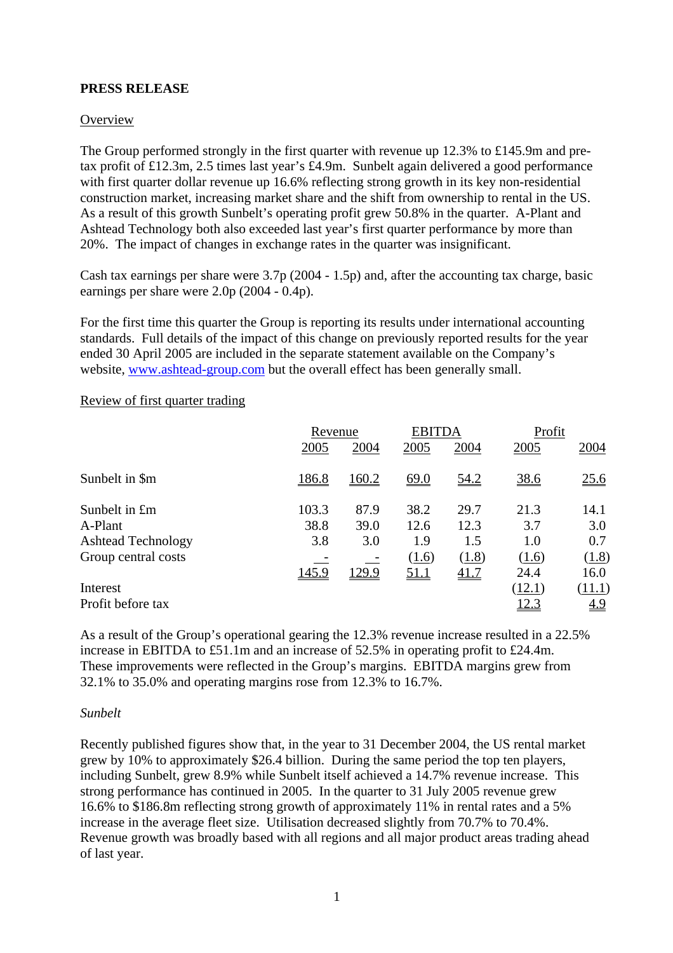## **PRESS RELEASE**

#### **Overview**

The Group performed strongly in the first quarter with revenue up 12.3% to £145.9m and pretax profit of £12.3m, 2.5 times last year's £4.9m. Sunbelt again delivered a good performance with first quarter dollar revenue up 16.6% reflecting strong growth in its key non-residential construction market, increasing market share and the shift from ownership to rental in the US. As a result of this growth Sunbelt's operating profit grew 50.8% in the quarter. A-Plant and Ashtead Technology both also exceeded last year's first quarter performance by more than 20%. The impact of changes in exchange rates in the quarter was insignificant.

Cash tax earnings per share were 3.7p (2004 - 1.5p) and, after the accounting tax charge, basic earnings per share were 2.0p (2004 - 0.4p).

For the first time this quarter the Group is reporting its results under international accounting standards. Full details of the impact of this change on previously reported results for the year ended 30 April 2005 are included in the separate statement available on the Company's website, [www.ashtead-group.com](http://www.ashtead-group.com/) but the overall effect has been generally small.

|                           | Revenue |               | <b>EBITDA</b> |             | Profit |            |
|---------------------------|---------|---------------|---------------|-------------|--------|------------|
|                           | 2005    | 2004          | 2005          | 2004        | 2005   | 2004       |
| Sunbelt in \$m            | 186.8   | 160.2         | <u>69.0</u>   | <u>54.2</u> | 38.6   | 25.6       |
| Sunbelt in £m             | 103.3   | 87.9          | 38.2          | 29.7        | 21.3   | 14.1       |
| A-Plant                   | 38.8    | 39.0          | 12.6          | 12.3        | 3.7    | 3.0        |
| <b>Ashtead Technology</b> | 3.8     | 3.0           | 1.9           | 1.5         | 1.0    | 0.7        |
| Group central costs       |         |               | (1.6)         | (1.8)       | (1.6)  | (1.8)      |
|                           | 145.9   | <u> 129.9</u> | <u>51.1</u>   | <u>41.7</u> | 24.4   | 16.0       |
| Interest                  |         |               |               |             | (12.1) | (11.1)     |
| Profit before tax         |         |               |               |             | 12.3   | <u>4.9</u> |

#### Review of first quarter trading

As a result of the Group's operational gearing the 12.3% revenue increase resulted in a 22.5% increase in EBITDA to £51.1m and an increase of 52.5% in operating profit to £24.4m. These improvements were reflected in the Group's margins. EBITDA margins grew from 32.1% to 35.0% and operating margins rose from 12.3% to 16.7%.

#### *Sunbelt*

Recently published figures show that, in the year to 31 December 2004, the US rental market grew by 10% to approximately \$26.4 billion. During the same period the top ten players, including Sunbelt, grew 8.9% while Sunbelt itself achieved a 14.7% revenue increase. This strong performance has continued in 2005. In the quarter to 31 July 2005 revenue grew 16.6% to \$186.8m reflecting strong growth of approximately 11% in rental rates and a 5% increase in the average fleet size. Utilisation decreased slightly from 70.7% to 70.4%. Revenue growth was broadly based with all regions and all major product areas trading ahead of last year.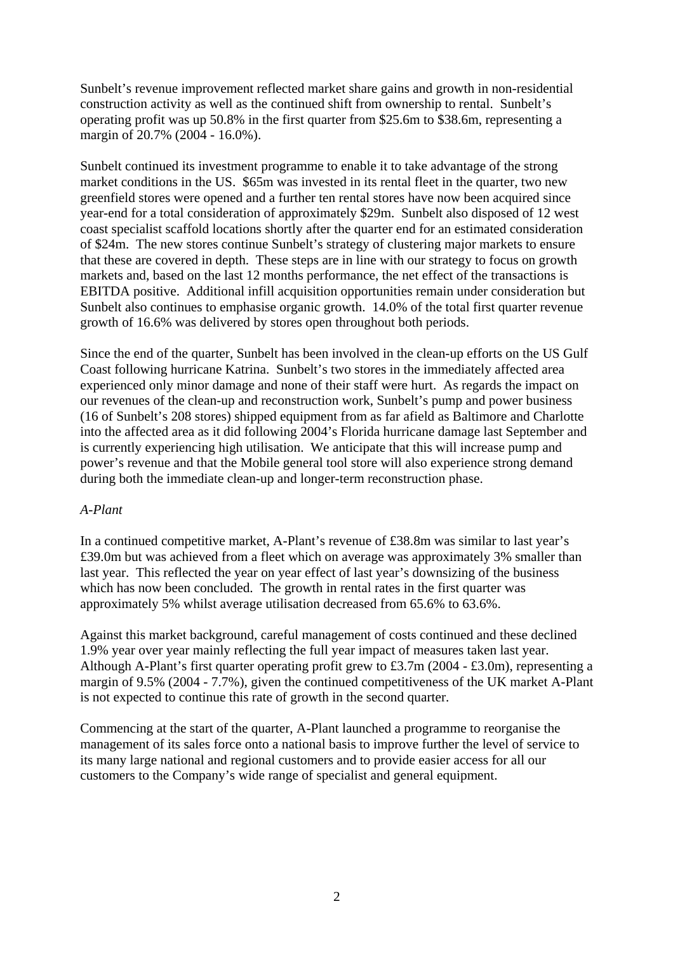Sunbelt's revenue improvement reflected market share gains and growth in non-residential construction activity as well as the continued shift from ownership to rental. Sunbelt's operating profit was up 50.8% in the first quarter from \$25.6m to \$38.6m, representing a margin of 20.7% (2004 - 16.0%).

Sunbelt continued its investment programme to enable it to take advantage of the strong market conditions in the US. \$65m was invested in its rental fleet in the quarter, two new greenfield stores were opened and a further ten rental stores have now been acquired since year-end for a total consideration of approximately \$29m. Sunbelt also disposed of 12 west coast specialist scaffold locations shortly after the quarter end for an estimated consideration of \$24m. The new stores continue Sunbelt's strategy of clustering major markets to ensure that these are covered in depth. These steps are in line with our strategy to focus on growth markets and, based on the last 12 months performance, the net effect of the transactions is EBITDA positive. Additional infill acquisition opportunities remain under consideration but Sunbelt also continues to emphasise organic growth. 14.0% of the total first quarter revenue growth of 16.6% was delivered by stores open throughout both periods.

Since the end of the quarter, Sunbelt has been involved in the clean-up efforts on the US Gulf Coast following hurricane Katrina. Sunbelt's two stores in the immediately affected area experienced only minor damage and none of their staff were hurt. As regards the impact on our revenues of the clean-up and reconstruction work, Sunbelt's pump and power business (16 of Sunbelt's 208 stores) shipped equipment from as far afield as Baltimore and Charlotte into the affected area as it did following 2004's Florida hurricane damage last September and is currently experiencing high utilisation. We anticipate that this will increase pump and power's revenue and that the Mobile general tool store will also experience strong demand during both the immediate clean-up and longer-term reconstruction phase.

#### *A-Plant*

In a continued competitive market, A-Plant's revenue of £38.8m was similar to last year's £39.0m but was achieved from a fleet which on average was approximately 3% smaller than last year. This reflected the year on year effect of last year's downsizing of the business which has now been concluded. The growth in rental rates in the first quarter was approximately 5% whilst average utilisation decreased from 65.6% to 63.6%.

Against this market background, careful management of costs continued and these declined 1.9% year over year mainly reflecting the full year impact of measures taken last year. Although A-Plant's first quarter operating profit grew to £3.7m (2004 - £3.0m), representing a margin of 9.5% (2004 - 7.7%), given the continued competitiveness of the UK market A-Plant is not expected to continue this rate of growth in the second quarter.

Commencing at the start of the quarter, A-Plant launched a programme to reorganise the management of its sales force onto a national basis to improve further the level of service to its many large national and regional customers and to provide easier access for all our customers to the Company's wide range of specialist and general equipment.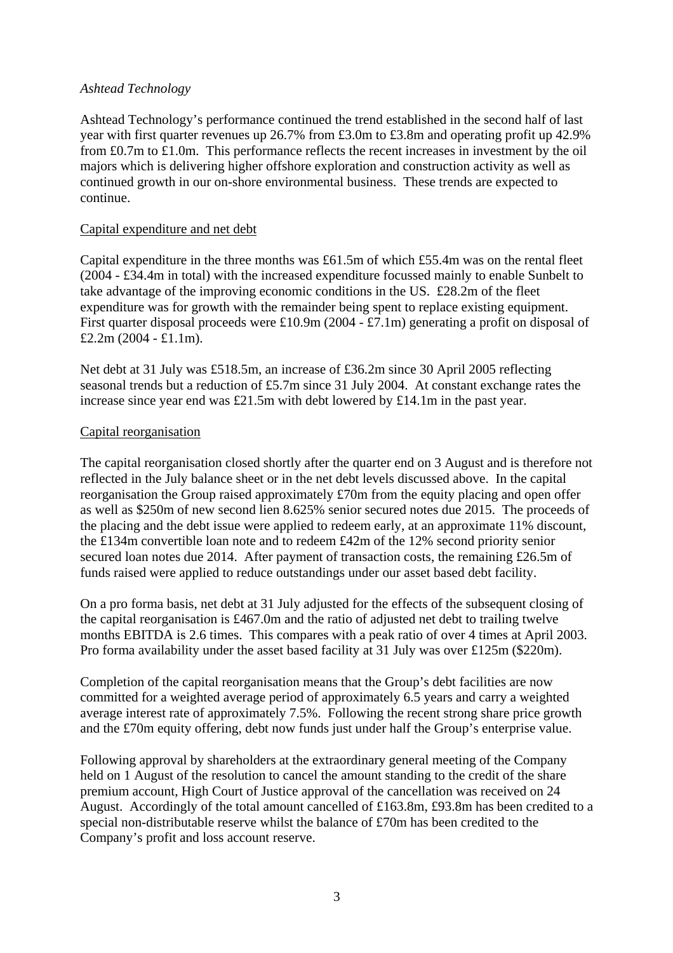#### *Ashtead Technology*

Ashtead Technology's performance continued the trend established in the second half of last year with first quarter revenues up 26.7% from £3.0m to £3.8m and operating profit up 42.9% from £0.7m to £1.0m. This performance reflects the recent increases in investment by the oil majors which is delivering higher offshore exploration and construction activity as well as continued growth in our on-shore environmental business. These trends are expected to continue.

#### Capital expenditure and net debt

Capital expenditure in the three months was £61.5m of which £55.4m was on the rental fleet (2004 - £34.4m in total) with the increased expenditure focussed mainly to enable Sunbelt to take advantage of the improving economic conditions in the US. £28.2m of the fleet expenditure was for growth with the remainder being spent to replace existing equipment. First quarter disposal proceeds were £10.9m (2004 - £7.1m) generating a profit on disposal of £2.2m  $(2004 - \text{£}1.1m)$ .

Net debt at 31 July was £518.5m, an increase of £36.2m since 30 April 2005 reflecting seasonal trends but a reduction of £5.7m since 31 July 2004. At constant exchange rates the increase since year end was £21.5m with debt lowered by £14.1m in the past year.

### Capital reorganisation

The capital reorganisation closed shortly after the quarter end on 3 August and is therefore not reflected in the July balance sheet or in the net debt levels discussed above. In the capital reorganisation the Group raised approximately £70m from the equity placing and open offer as well as \$250m of new second lien 8.625% senior secured notes due 2015. The proceeds of the placing and the debt issue were applied to redeem early, at an approximate 11% discount, the £134m convertible loan note and to redeem £42m of the 12% second priority senior secured loan notes due 2014. After payment of transaction costs, the remaining £26.5m of funds raised were applied to reduce outstandings under our asset based debt facility.

On a pro forma basis, net debt at 31 July adjusted for the effects of the subsequent closing of the capital reorganisation is £467.0m and the ratio of adjusted net debt to trailing twelve months EBITDA is 2.6 times. This compares with a peak ratio of over 4 times at April 2003. Pro forma availability under the asset based facility at 31 July was over £125m (\$220m).

Completion of the capital reorganisation means that the Group's debt facilities are now committed for a weighted average period of approximately 6.5 years and carry a weighted average interest rate of approximately 7.5%. Following the recent strong share price growth and the £70m equity offering, debt now funds just under half the Group's enterprise value.

Following approval by shareholders at the extraordinary general meeting of the Company held on 1 August of the resolution to cancel the amount standing to the credit of the share premium account, High Court of Justice approval of the cancellation was received on 24 August. Accordingly of the total amount cancelled of £163.8m, £93.8m has been credited to a special non-distributable reserve whilst the balance of £70m has been credited to the Company's profit and loss account reserve.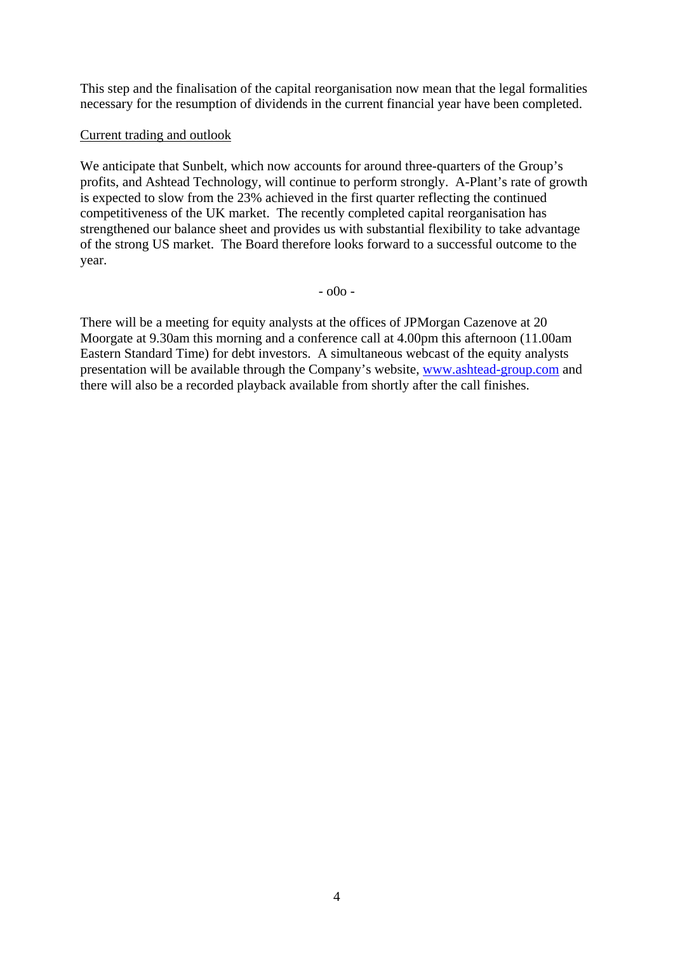This step and the finalisation of the capital reorganisation now mean that the legal formalities necessary for the resumption of dividends in the current financial year have been completed.

## Current trading and outlook

We anticipate that Sunbelt, which now accounts for around three-quarters of the Group's profits, and Ashtead Technology, will continue to perform strongly. A-Plant's rate of growth is expected to slow from the 23% achieved in the first quarter reflecting the continued competitiveness of the UK market. The recently completed capital reorganisation has strengthened our balance sheet and provides us with substantial flexibility to take advantage of the strong US market. The Board therefore looks forward to a successful outcome to the year.

- o0o -

There will be a meeting for equity analysts at the offices of JPMorgan Cazenove at 20 Moorgate at 9.30am this morning and a conference call at 4.00pm this afternoon (11.00am Eastern Standard Time) for debt investors. A simultaneous webcast of the equity analysts presentation will be available through the Company's website, [www.ashtead-group.com](http://www.ashtead-group.com/) and there will also be a recorded playback available from shortly after the call finishes.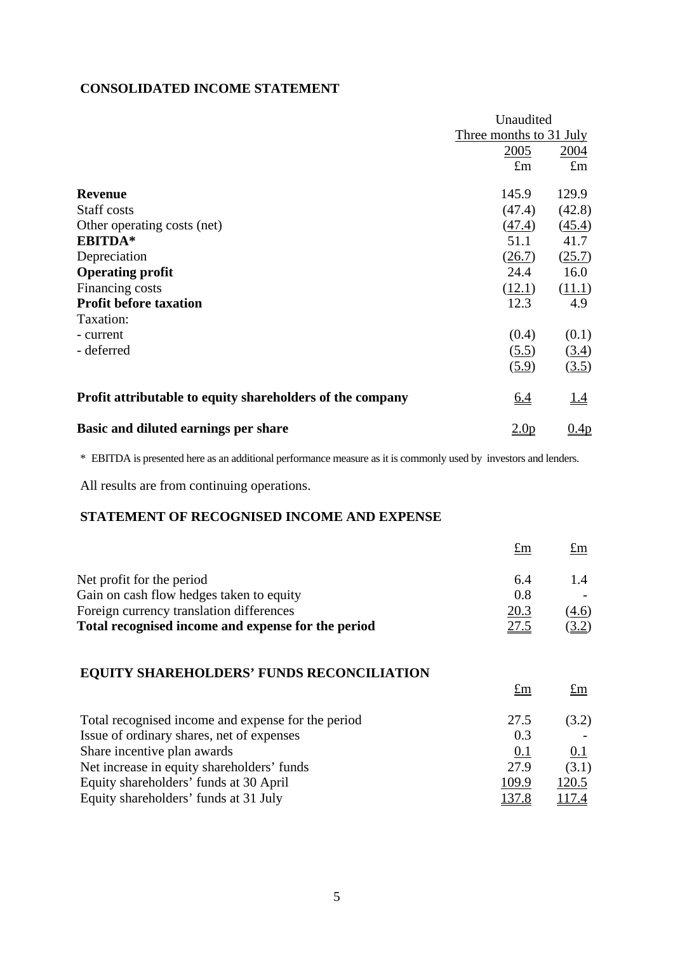## **CONSOLIDATED INCOME STATEMENT**

|                                                           | Unaudited               |             |
|-----------------------------------------------------------|-------------------------|-------------|
|                                                           | Three months to 31 July |             |
|                                                           | 2005                    | 2004        |
|                                                           | $\pounds$ m             | $\pounds$ m |
| <b>Revenue</b>                                            | 145.9                   | 129.9       |
| Staff costs                                               | (47.4)                  | (42.8)      |
| Other operating costs (net)                               | (47.4)                  | (45.4)      |
| EBITDA*                                                   | 51.1                    | 41.7        |
| Depreciation                                              | (26.7)                  | (25.7)      |
| <b>Operating profit</b>                                   | 24.4                    | 16.0        |
| Financing costs                                           | (12.1)                  | (11.1)      |
| <b>Profit before taxation</b>                             | 12.3                    | 4.9         |
| Taxation:                                                 |                         |             |
| - current                                                 | (0.4)                   | (0.1)       |
| - deferred                                                | (5.5)                   | (3.4)       |
|                                                           | (5.9)                   | (3.5)       |
| Profit attributable to equity shareholders of the company | <u>6.4</u>              | <u>1.4</u>  |
| Basic and diluted earnings per share                      | 2.0 <sub>p</sub>        | 0.4p        |

\* EBITDA is presented here as an additional performance measure as it is commonly used by investors and lenders.

All results are from continuing operations.

# **STATEMENT OF RECOGNISED INCOME AND EXPENSE**

|                                                    | $\pounds$ m | $\pounds$ m |
|----------------------------------------------------|-------------|-------------|
| Net profit for the period                          | 6.4         |             |
| Gain on cash flow hedges taken to equity           | 0.8         |             |
| Foreign currency translation differences           | 20.3        | (4.6)       |
| Total recognised income and expense for the period | <u>27.5</u> | <u>3.2)</u> |

# **EQUITY SHAREHOLDERS' FUNDS RECONCILIATION**

|                                                    | $\pounds$ m | $\pounds$ m  |
|----------------------------------------------------|-------------|--------------|
| Total recognised income and expense for the period | 27.5        | (3.2)        |
| Issue of ordinary shares, net of expenses          | 0.3         |              |
| Share incentive plan awards                        | 0.1         | 0.1          |
| Net increase in equity shareholders' funds         | 27.9        | (3.1)        |
| Equity shareholders' funds at 30 April             | 109.9       | 120.5        |
| Equity shareholders' funds at 31 July              | 137.8       | <u>117.4</u> |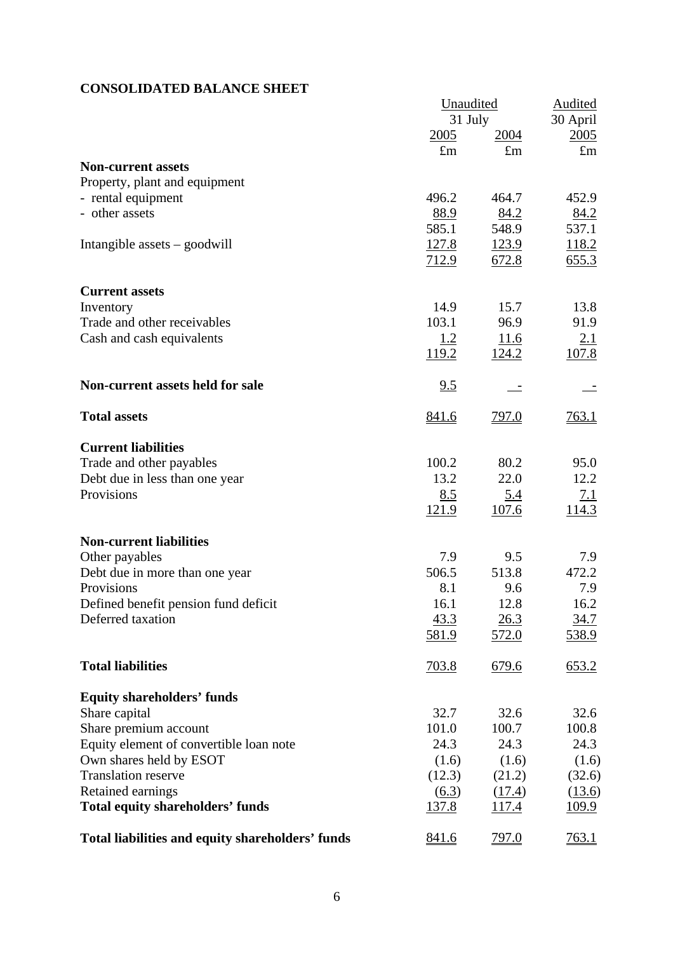# **CONSOLIDATED BALANCE SHEET**

|                                                  | Unaudited           |              | <b>Audited</b> |
|--------------------------------------------------|---------------------|--------------|----------------|
|                                                  | 31 July             |              | 30 April       |
|                                                  | 2005                | <u>2004</u>  | 2005           |
|                                                  | $\pounds$ m         | $\pounds$ m  | $\pounds$ m    |
| <b>Non-current assets</b>                        |                     |              |                |
| Property, plant and equipment                    |                     |              |                |
| - rental equipment                               | 496.2               | 464.7        | 452.9          |
| - other assets                                   | 88.9                | 84.2         | 84.2           |
|                                                  | 585.1               | 548.9        | 537.1          |
| Intangible assets $-$ goodwill                   | 127.8               | <u>123.9</u> | 118.2          |
|                                                  | 712.9               | 672.8        | 655.3          |
| <b>Current assets</b>                            |                     |              |                |
| Inventory                                        | 14.9                | 15.7         | 13.8           |
| Trade and other receivables                      | 103.1               | 96.9         | 91.9           |
| Cash and cash equivalents                        | 1.2                 | 11.6         | <u>2.1</u>     |
|                                                  | <u>119.2</u>        | 124.2        | 107.8          |
| Non-current assets held for sale                 | 9.5                 |              |                |
| <b>Total assets</b>                              | <u>841.6</u>        | <u>797.0</u> | 763.1          |
| <b>Current liabilities</b>                       |                     |              |                |
|                                                  | 100.2               | 80.2         | 95.0           |
| Trade and other payables                         | 13.2                | 22.0         | 12.2           |
| Debt due in less than one year                   |                     |              |                |
| Provisions                                       | 8.5                 | <u>5.4</u>   | <u>7.1</u>     |
|                                                  | 121.9               | 107.6        | 114.3          |
| <b>Non-current liabilities</b>                   |                     |              |                |
| Other payables                                   | 7.9                 | 9.5          | 7.9            |
| Debt due in more than one year                   | 506.5               | 513.8        | 472.2          |
| Provisions                                       | 8.1                 | 9.6          | 7.9            |
| Defined benefit pension fund deficit             | 16.1                | 12.8         | 16.2           |
| Deferred taxation                                | 43.3                | 26.3         | 34.7           |
|                                                  | 581.9               | 572.0        | 538.9          |
| <b>Total liabilities</b>                         | <u>703.8</u>        | 679.6        | 653.2          |
| <b>Equity shareholders' funds</b>                |                     |              |                |
| Share capital                                    | 32.7                | 32.6         | 32.6           |
| Share premium account                            | 101.0               | 100.7        | 100.8          |
| Equity element of convertible loan note          | 24.3                | 24.3         | 24.3           |
| Own shares held by ESOT                          | (1.6)               | (1.6)        | (1.6)          |
| <b>Translation reserve</b>                       | (12.3)              | (21.2)       | (32.6)         |
| Retained earnings                                | $\underline{(6.3)}$ | (17.4)       | (13.6)         |
| <b>Total equity shareholders' funds</b>          | <u>137.8</u>        | 117.4        | 109.9          |
| Total liabilities and equity shareholders' funds | 841.6               | <u>797.0</u> | <u>763.1</u>   |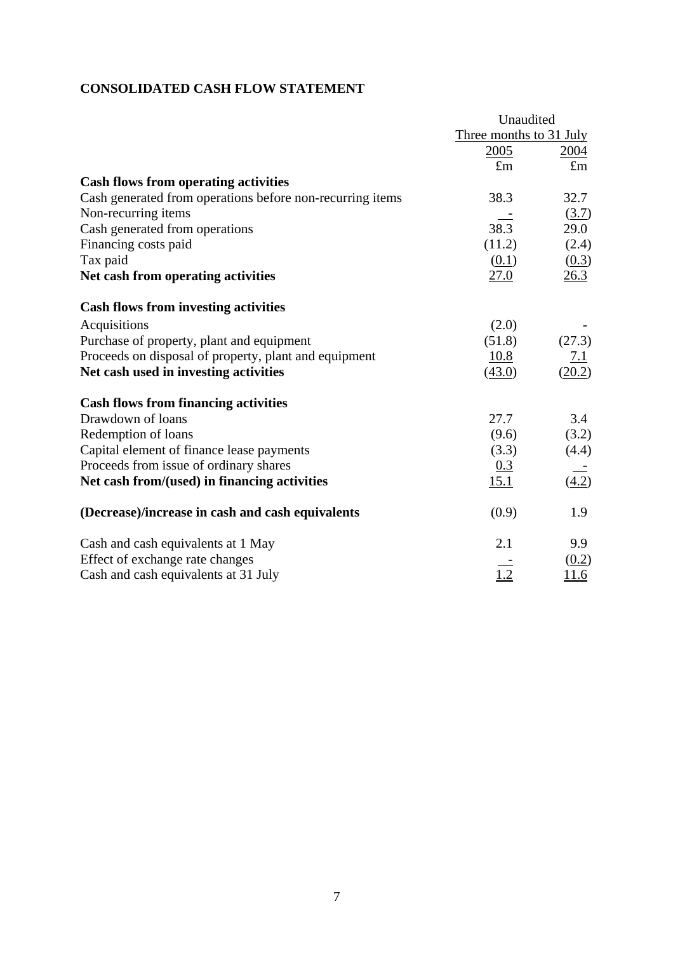# **CONSOLIDATED CASH FLOW STATEMENT**

|                                                           | Unaudited               |              |
|-----------------------------------------------------------|-------------------------|--------------|
|                                                           | Three months to 31 July |              |
|                                                           | 2005                    | 2004         |
|                                                           | $\mathbf{f}_{\text{m}}$ | $\pounds$ m  |
| <b>Cash flows from operating activities</b>               |                         |              |
| Cash generated from operations before non-recurring items | 38.3                    | 32.7         |
| Non-recurring items                                       |                         | (3.7)        |
| Cash generated from operations                            | 38.3                    | 29.0         |
| Financing costs paid                                      | (11.2)                  | (2.4)        |
| Tax paid                                                  | (0.1)                   | (0.3)        |
| Net cash from operating activities                        | 27.0                    | 26.3         |
| <b>Cash flows from investing activities</b>               |                         |              |
| Acquisitions                                              | (2.0)                   |              |
| Purchase of property, plant and equipment                 | (51.8)                  | (27.3)       |
| Proceeds on disposal of property, plant and equipment     | 10.8                    | 7.1          |
| Net cash used in investing activities                     | (43.0)                  | (20.2)       |
| <b>Cash flows from financing activities</b>               |                         |              |
| Drawdown of loans                                         | 27.7                    | 3.4          |
| Redemption of loans                                       | (9.6)                   | (3.2)        |
| Capital element of finance lease payments                 | (3.3)                   | (4.4)        |
| Proceeds from issue of ordinary shares                    | 0.3                     |              |
| Net cash from/(used) in financing activities              | 15.1                    | (4.2)        |
| (Decrease)/increase in cash and cash equivalents          | (0.9)                   | 1.9          |
| Cash and cash equivalents at 1 May                        | 2.1                     | 9.9          |
| Effect of exchange rate changes                           |                         | (0.2)        |
| Cash and cash equivalents at 31 July                      | 1.2                     | <u> 11.6</u> |
|                                                           |                         |              |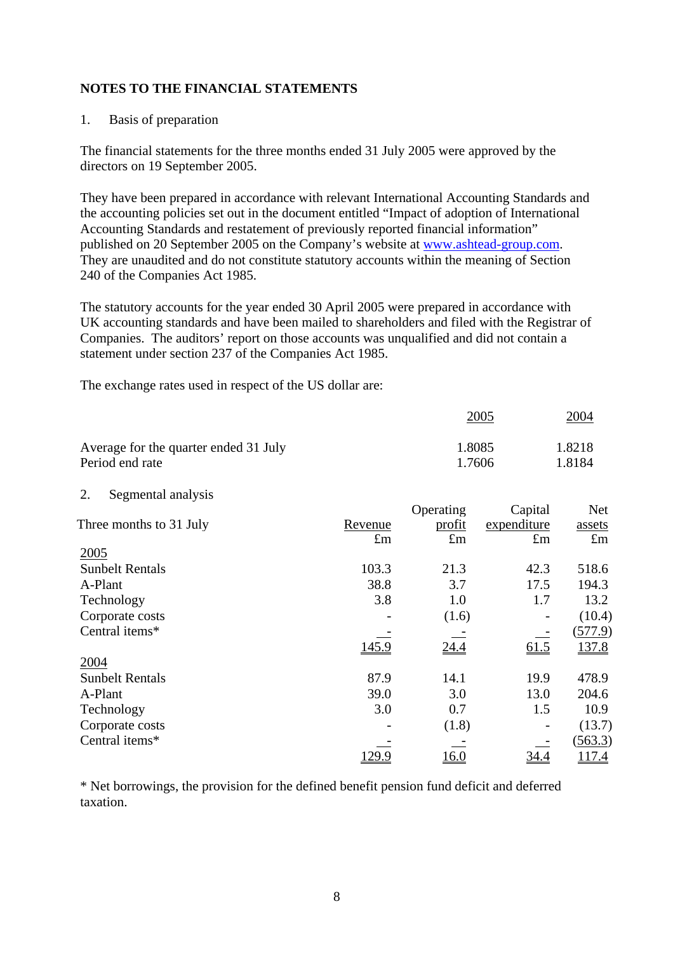# **NOTES TO THE FINANCIAL STATEMENTS**

### 1. Basis of preparation

The financial statements for the three months ended 31 July 2005 were approved by the directors on 19 September 2005.

They have been prepared in accordance with relevant International Accounting Standards and the accounting policies set out in the document entitled "Impact of adoption of International Accounting Standards and restatement of previously reported financial information" published on 20 September 2005 on the Company's website at [www.ashtead-group.com.](http://www.ashtead-group.com/) They are unaudited and do not constitute statutory accounts within the meaning of Section 240 of the Companies Act 1985.

The statutory accounts for the year ended 30 April 2005 were prepared in accordance with UK accounting standards and have been mailed to shareholders and filed with the Registrar of Companies. The auditors' report on those accounts was unqualified and did not contain a statement under section 237 of the Companies Act 1985.

The exchange rates used in respect of the US dollar are:

|                                       | 2005   | <u>2004</u> |
|---------------------------------------|--------|-------------|
| Average for the quarter ended 31 July | 1.8085 | 1.8218      |
| Period end rate                       | 1.7606 | 1.8184      |

2. Segmental analysis

|                         |             | Operating   | Capital            | <b>Net</b>  |
|-------------------------|-------------|-------------|--------------------|-------------|
| Three months to 31 July | Revenue     | profit      | expenditure        | assets      |
|                         | $\pounds$ m | $\pounds$ m | $\pounds$ m        | $\pounds$ m |
| 2005                    |             |             |                    |             |
| <b>Sunbelt Rentals</b>  | 103.3       | 21.3        | 42.3               | 518.6       |
| A-Plant                 | 38.8        | 3.7         | 17.5               | 194.3       |
| Technology              | 3.8         | 1.0         | 1.7                | 13.2        |
| Corporate costs         |             | (1.6)       |                    | (10.4)      |
| Central items*          |             |             |                    | (577.9)     |
|                         | 145.9       | 24.4        | $\underline{61.5}$ | 137.8       |
| 2004                    |             |             |                    |             |
| <b>Sunbelt Rentals</b>  | 87.9        | 14.1        | 19.9               | 478.9       |
| A-Plant                 | 39.0        | 3.0         | 13.0               | 204.6       |
| Technology              | 3.0         | 0.7         | 1.5                | 10.9        |
| Corporate costs         |             | (1.8)       |                    | (13.7)      |
| Central items*          |             |             |                    | (563.3)     |
|                         | 129.9       | 16.0        | 34.4               | 117.4       |

\* Net borrowings, the provision for the defined benefit pension fund deficit and deferred taxation.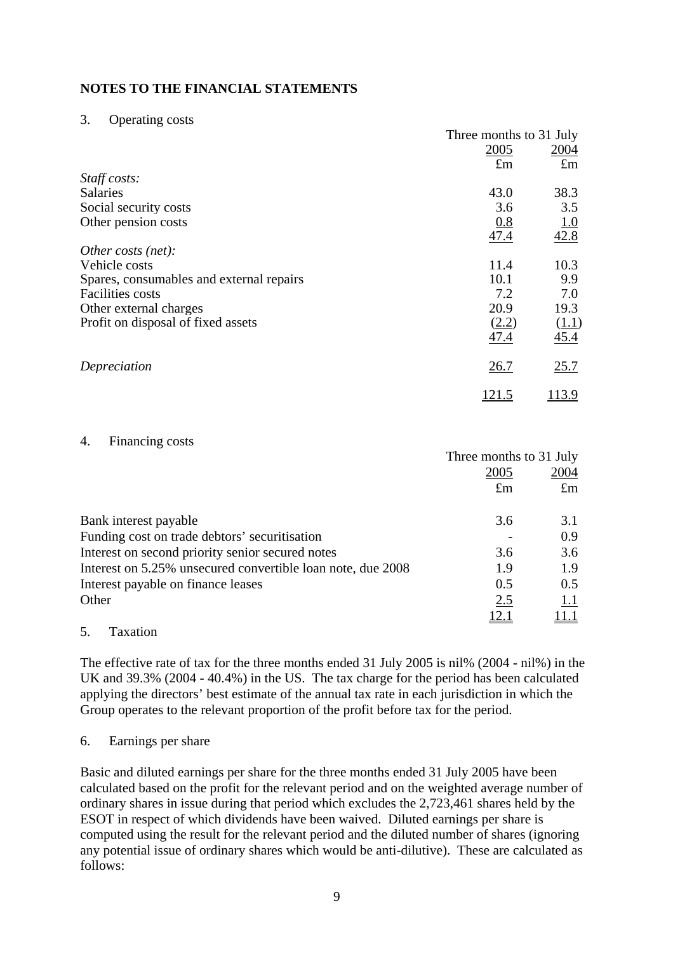# **NOTES TO THE FINANCIAL STATEMENTS**

#### 3. Operating costs

|                                          | Three months to 31 July |             |
|------------------------------------------|-------------------------|-------------|
|                                          | 2005                    | 2004        |
|                                          | $\pounds$ m             | $\pounds$ m |
| Staff costs:                             |                         |             |
| <b>Salaries</b>                          | 43.0                    | 38.3        |
| Social security costs                    | 3.6                     | 3.5         |
| Other pension costs                      | 0.8                     | 1.0         |
|                                          | 47.4                    | 42.8        |
| Other costs (net):                       |                         |             |
| Vehicle costs                            | 11.4                    | 10.3        |
| Spares, consumables and external repairs | 10.1                    | 9.9         |
| <b>Facilities</b> costs                  | 7.2                     | 7.0         |
| Other external charges                   | 20.9                    | 19.3        |
| Profit on disposal of fixed assets       | (2.2)                   | (1.1)       |
|                                          | 47.4                    | 45.4        |
| Depreciation                             | 26.7                    | 25.7        |
|                                          | 121.5                   | 13.9        |

#### 4. Financing costs

|                                                             | Three months to 31 July |             |
|-------------------------------------------------------------|-------------------------|-------------|
|                                                             | 2005                    | 2004        |
|                                                             | $\pounds$ m             | $\pounds$ m |
| Bank interest payable                                       | 3.6                     | 3.1         |
| Funding cost on trade debtors' securitisation               |                         | 0.9         |
| Interest on second priority senior secured notes            | 3.6                     | 3.6         |
| Interest on 5.25% unsecured convertible loan note, due 2008 | 1.9                     | 1.9         |
| Interest payable on finance leases                          | 0.5                     | 0.5         |
| Other                                                       | 2.5                     | 1.1         |
|                                                             |                         |             |

5. Taxation

The effective rate of tax for the three months ended 31 July 2005 is nil% (2004 - nil%) in the UK and 39.3% (2004 - 40.4%) in the US. The tax charge for the period has been calculated applying the directors' best estimate of the annual tax rate in each jurisdiction in which the Group operates to the relevant proportion of the profit before tax for the period.

#### 6. Earnings per share

Basic and diluted earnings per share for the three months ended 31 July 2005 have been calculated based on the profit for the relevant period and on the weighted average number of ordinary shares in issue during that period which excludes the 2,723,461 shares held by the ESOT in respect of which dividends have been waived. Diluted earnings per share is computed using the result for the relevant period and the diluted number of shares (ignoring any potential issue of ordinary shares which would be anti-dilutive). These are calculated as follows: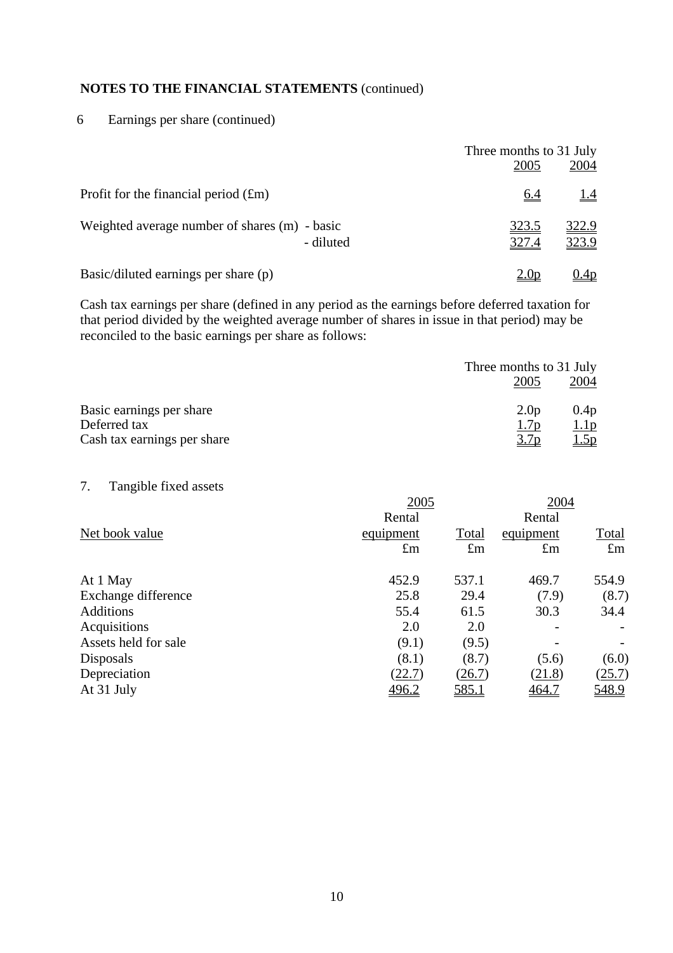# **NOTES TO THE FINANCIAL STATEMENTS** (continued)

6 Earnings per share (continued)

|                                                            | Three months to 31 July<br>2005 | 2004                  |
|------------------------------------------------------------|---------------------------------|-----------------------|
| Profit for the financial period $(fm)$                     | <u>6.4</u>                      | <u>1.4</u>            |
| Weighted average number of shares (m) - basic<br>- diluted | <u>323.5</u><br>327.4           | <u>322.9</u><br>323.9 |
| Basic/diluted earnings per share (p)                       |                                 | <u>.4p</u>            |

Cash tax earnings per share (defined in any period as the earnings before deferred taxation for that period divided by the weighted average number of shares in issue in that period) may be reconciled to the basic earnings per share as follows:

|                             |                  | Three months to 31 July |  |  |
|-----------------------------|------------------|-------------------------|--|--|
|                             | 2005             | 2004                    |  |  |
| Basic earnings per share    | 2.0 <sub>p</sub> | 0.4p                    |  |  |
| Deferred tax                | 1.7p             | 1.1p                    |  |  |
| Cash tax earnings per share | 3.7p             | 1.5p                    |  |  |

7. Tangible fixed assets

|                      | 2005        |             | 2004        |             |
|----------------------|-------------|-------------|-------------|-------------|
|                      | Rental      |             | Rental      |             |
| Net book value       | equipment   | Total       | equipment   | Total       |
|                      | $\pounds$ m | $\pounds$ m | $\pounds$ m | $\pounds$ m |
| At 1 May             | 452.9       | 537.1       | 469.7       | 554.9       |
| Exchange difference  | 25.8        | 29.4        | (7.9)       | (8.7)       |
| <b>Additions</b>     | 55.4        | 61.5        | 30.3        | 34.4        |
| Acquisitions         | 2.0         | 2.0         |             |             |
| Assets held for sale | (9.1)       | (9.5)       |             |             |
| Disposals            | (8.1)       | (8.7)       | (5.6)       | (6.0)       |
| Depreciation         | (22.7)      | (26.7)      | (21.8)      | (25.7)      |
| At 31 July           | 496.2       | 585.1       | 464.7       | 548.9       |
|                      |             |             |             |             |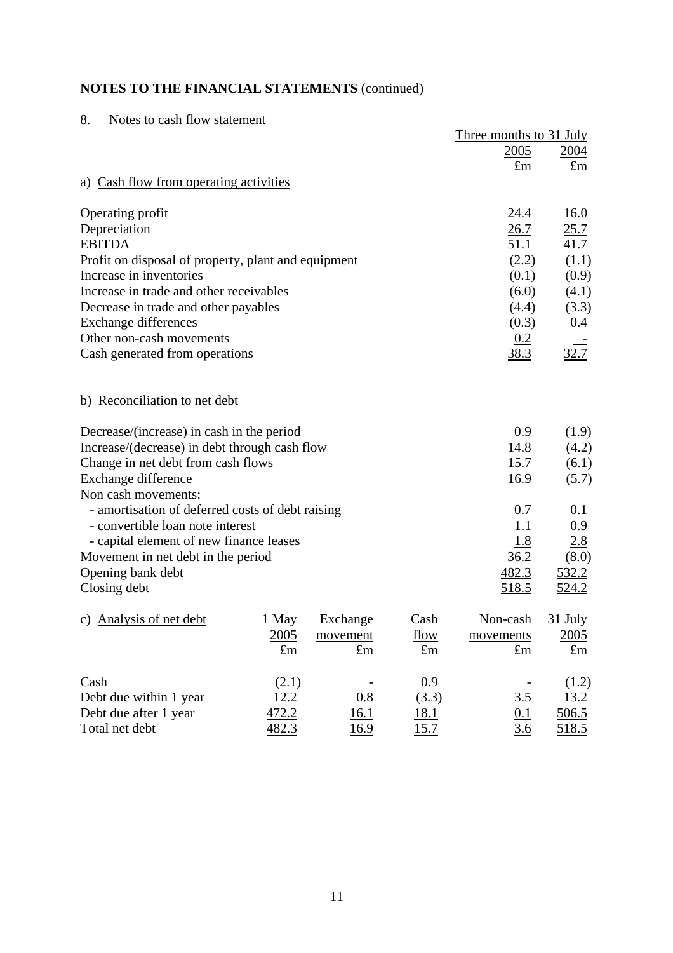# **NOTES TO THE FINANCIAL STATEMENTS** (continued)

| 8.<br>Notes to cash flow statement                  |             |             |             |                         |              |
|-----------------------------------------------------|-------------|-------------|-------------|-------------------------|--------------|
|                                                     |             |             |             | Three months to 31 July |              |
|                                                     |             |             |             | 2005                    | <u>2004</u>  |
|                                                     |             |             |             | $\pounds$ m             | $\pounds$ m  |
| a) Cash flow from operating activities              |             |             |             |                         |              |
| Operating profit                                    |             |             |             | 24.4                    | 16.0         |
| Depreciation                                        |             |             |             | 26.7                    | 25.7         |
| <b>EBITDA</b>                                       |             |             |             | 51.1                    | 41.7         |
| Profit on disposal of property, plant and equipment |             |             |             | (2.2)                   | (1.1)        |
| Increase in inventories                             |             |             |             | (0.1)                   | (0.9)        |
| Increase in trade and other receivables             |             |             |             | (6.0)                   | (4.1)        |
| Decrease in trade and other payables                |             |             |             | (4.4)                   | (3.3)        |
| <b>Exchange differences</b>                         |             |             |             | (0.3)                   | $0.4\,$      |
| Other non-cash movements                            |             |             |             | 0.2                     |              |
| Cash generated from operations                      |             |             |             | 38.3                    | 32.7         |
| b) Reconciliation to net debt                       |             |             |             |                         |              |
| Decrease/(increase) in cash in the period           |             |             |             | 0.9                     | (1.9)        |
| Increase/(decrease) in debt through cash flow       |             |             |             | 14.8                    | (4.2)        |
| Change in net debt from cash flows                  |             |             |             | 15.7                    | (6.1)        |
| Exchange difference                                 |             |             |             | 16.9                    | (5.7)        |
| Non cash movements:                                 |             |             |             |                         |              |
| - amortisation of deferred costs of debt raising    |             |             |             | 0.7                     | 0.1          |
| - convertible loan note interest                    |             |             |             | 1.1                     | 0.9          |
| - capital element of new finance leases             |             |             |             | <u>1.8</u>              | 2.8          |
| Movement in net debt in the period                  |             |             |             | 36.2                    | (8.0)        |
| Opening bank debt                                   |             |             |             | 482.3                   | 532.2        |
| Closing debt                                        |             |             |             | <u>518.5</u>            | <u>524.2</u> |
| c) Analysis of net debt                             | 1 May       | Exchange    | Cash        | Non-cash                | 31 July      |
|                                                     | 2005        | movement    | flow        | movements               | 2005         |
|                                                     | $\pounds$ m | $\pounds$ m | $\pounds$ m | $\pounds$ m             | $\pounds$ m  |
| Cash                                                | (2.1)       |             | 0.9         |                         | (1.2)        |
| Debt due within 1 year                              | 12.2        | 0.8         | (3.3)       | 3.5                     | 13.2         |
| Debt due after 1 year                               | 472.2       | 16.1        | <u>18.1</u> | 0.1                     | <u>506.5</u> |
| Total net debt                                      | 482.3       | 16.9        | 15.7        | 3.6                     | 518.5        |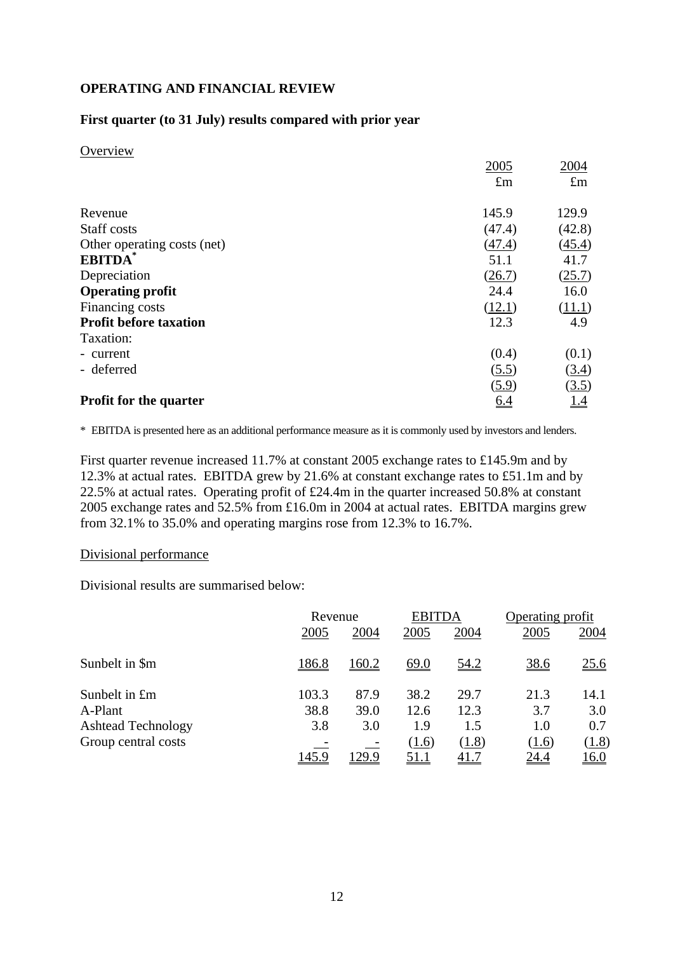## **OPERATING AND FINANCIAL REVIEW**

### **First quarter (to 31 July) results compared with prior year**

**Overview** 

|                               | 2005        | 2004          |
|-------------------------------|-------------|---------------|
|                               | $\pounds$ m | $\pounds$ m   |
| Revenue                       | 145.9       | 129.9         |
| Staff costs                   | (47.4)      | (42.8)        |
| Other operating costs (net)   | (47.4)      | (45.4)        |
| <b>EBITDA</b>                 | 51.1        | 41.7          |
| Depreciation                  | (26.7)      | (25.7)        |
| <b>Operating profit</b>       | 24.4        | 16.0          |
| Financing costs               | (12.1)      | <u>(11.1)</u> |
| <b>Profit before taxation</b> | 12.3        | 4.9           |
| Taxation:                     |             |               |
| - current                     | (0.4)       | (0.1)         |
| - deferred                    | (5.5)       | (3.4)         |
|                               | (5.9)       | (3.5)         |
| <b>Profit for the quarter</b> | <u>6.4</u>  | <u>14</u>     |

\* EBITDA is presented here as an additional performance measure as it is commonly used by investors and lenders.

First quarter revenue increased 11.7% at constant 2005 exchange rates to £145.9m and by 12.3% at actual rates. EBITDA grew by 21.6% at constant exchange rates to £51.1m and by 22.5% at actual rates. Operating profit of £24.4m in the quarter increased 50.8% at constant 2005 exchange rates and 52.5% from £16.0m in 2004 at actual rates. EBITDA margins grew from 32.1% to 35.0% and operating margins rose from 12.3% to 16.7%.

#### Divisional performance

Divisional results are summarised below:

|                           |       | Revenue |             | <b>EBITDA</b> | Operating profit |             |
|---------------------------|-------|---------|-------------|---------------|------------------|-------------|
|                           | 2005  | 2004    | 2005        | 2004          | 2005             | 2004        |
| Sunbelt in \$m            | 186.8 | 160.2   | <u>69.0</u> | <u>54.2</u>   | 38.6             | <u>25.6</u> |
| Sunbelt in £m             | 103.3 | 87.9    | 38.2        | 29.7          | 21.3             | 14.1        |
| A-Plant                   | 38.8  | 39.0    | 12.6        | 12.3          | 3.7              | 3.0         |
| <b>Ashtead Technology</b> | 3.8   | 3.0     | 1.9         | 1.5           | 1.0              | 0.7         |
| Group central costs       |       |         | (1.6)       | (1.8)         | (1.6)            | (1.8)       |
|                           | 145.9 | 129.9   | <u>51.1</u> | <u>41.7</u>   | <u> 24.4</u>     | <u>16.0</u> |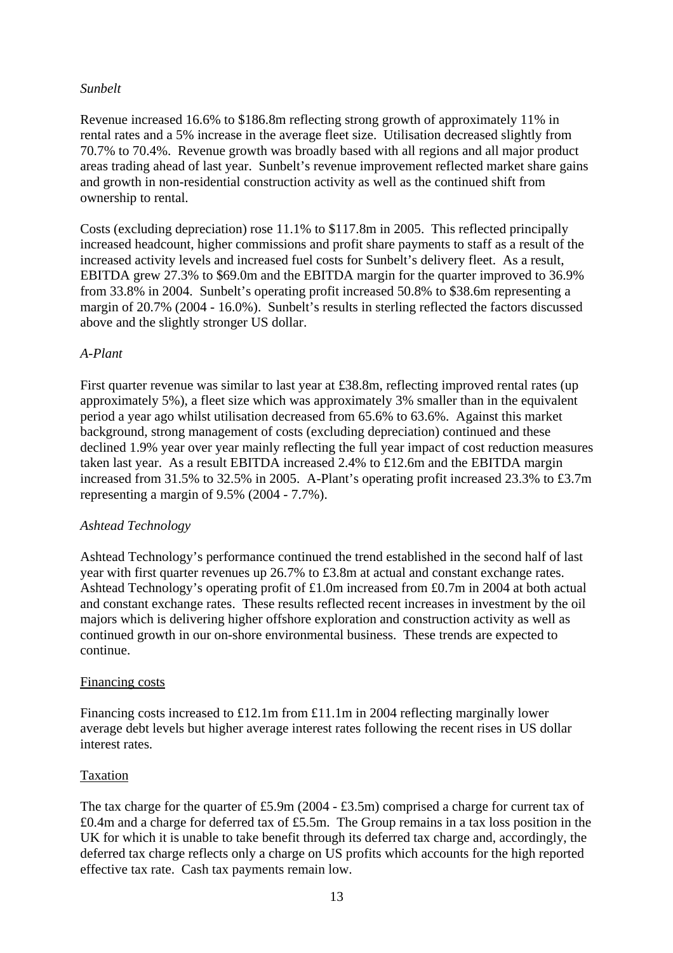## *Sunbelt*

Revenue increased 16.6% to \$186.8m reflecting strong growth of approximately 11% in rental rates and a 5% increase in the average fleet size. Utilisation decreased slightly from 70.7% to 70.4%. Revenue growth was broadly based with all regions and all major product areas trading ahead of last year. Sunbelt's revenue improvement reflected market share gains and growth in non-residential construction activity as well as the continued shift from ownership to rental.

Costs (excluding depreciation) rose 11.1% to \$117.8m in 2005. This reflected principally increased headcount, higher commissions and profit share payments to staff as a result of the increased activity levels and increased fuel costs for Sunbelt's delivery fleet. As a result, EBITDA grew 27.3% to \$69.0m and the EBITDA margin for the quarter improved to 36.9% from 33.8% in 2004. Sunbelt's operating profit increased 50.8% to \$38.6m representing a margin of 20.7% (2004 - 16.0%). Sunbelt's results in sterling reflected the factors discussed above and the slightly stronger US dollar.

### *A-Plant*

First quarter revenue was similar to last year at £38.8m, reflecting improved rental rates (up approximately 5%), a fleet size which was approximately 3% smaller than in the equivalent period a year ago whilst utilisation decreased from 65.6% to 63.6%. Against this market background, strong management of costs (excluding depreciation) continued and these declined 1.9% year over year mainly reflecting the full year impact of cost reduction measures taken last year. As a result EBITDA increased 2.4% to £12.6m and the EBITDA margin increased from 31.5% to 32.5% in 2005. A-Plant's operating profit increased 23.3% to £3.7m representing a margin of 9.5% (2004 - 7.7%).

#### *Ashtead Technology*

Ashtead Technology's performance continued the trend established in the second half of last year with first quarter revenues up 26.7% to £3.8m at actual and constant exchange rates. Ashtead Technology's operating profit of £1.0m increased from £0.7m in 2004 at both actual and constant exchange rates. These results reflected recent increases in investment by the oil majors which is delivering higher offshore exploration and construction activity as well as continued growth in our on-shore environmental business. These trends are expected to continue.

#### Financing costs

Financing costs increased to £12.1m from £11.1m in 2004 reflecting marginally lower average debt levels but higher average interest rates following the recent rises in US dollar interest rates.

# Taxation

The tax charge for the quarter of £5.9m (2004 - £3.5m) comprised a charge for current tax of £0.4m and a charge for deferred tax of £5.5m. The Group remains in a tax loss position in the UK for which it is unable to take benefit through its deferred tax charge and, accordingly, the deferred tax charge reflects only a charge on US profits which accounts for the high reported effective tax rate. Cash tax payments remain low.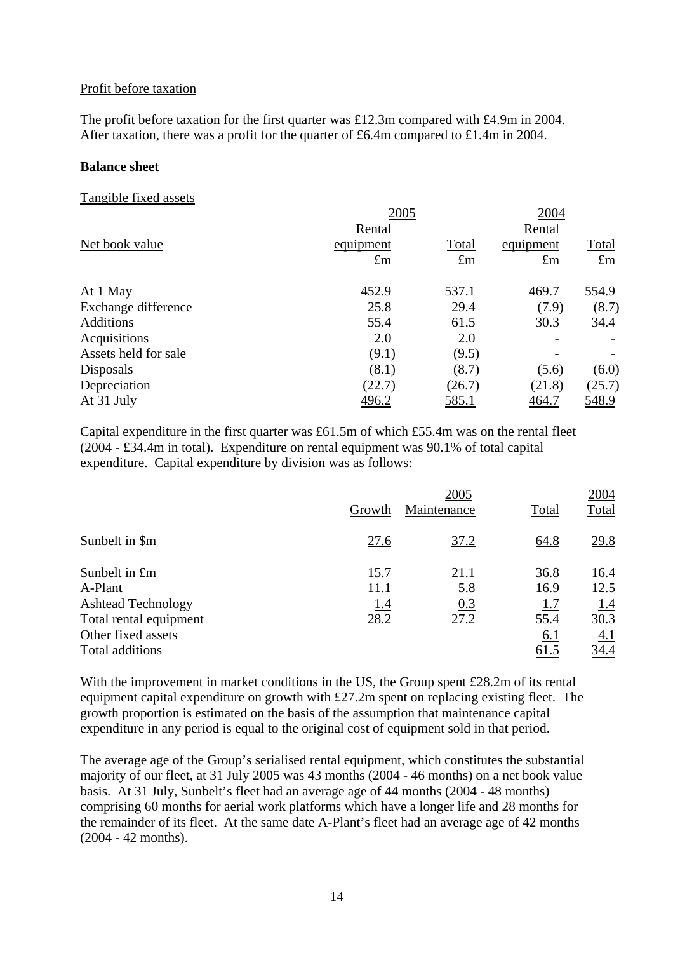#### Profit before taxation

The profit before taxation for the first quarter was £12.3m compared with £4.9m in 2004. After taxation, there was a profit for the quarter of £6.4m compared to £1.4m in 2004.

#### **Balance sheet**

#### Tangible fixed assets

|                      | 2005         | Rental       |              |              |
|----------------------|--------------|--------------|--------------|--------------|
|                      |              |              |              |              |
| Net book value       | equipment    | Total        | equipment    | Total        |
|                      | $\pounds$ m  | $\pounds$ m  | $\pounds$ m  | $\pounds$ m  |
| At 1 May             | 452.9        | 537.1        | 469.7        | 554.9        |
| Exchange difference  | 25.8         | 29.4         | (7.9)        | (8.7)        |
| <b>Additions</b>     | 55.4         | 61.5         | 30.3         | 34.4         |
| Acquisitions         | 2.0          | 2.0          |              |              |
| Assets held for sale | (9.1)        | (9.5)        |              |              |
| Disposals            | (8.1)        | (8.7)        | (5.6)        | (6.0)        |
| Depreciation         | (22.7)       | (26.7)       | (21.8)       | (25.7)       |
| At 31 July           | <u>496.2</u> | <u>585.1</u> | <u>464.7</u> | <u>548.9</u> |

Capital expenditure in the first quarter was £61.5m of which £55.4m was on the rental fleet (2004 - £34.4m in total). Expenditure on rental equipment was 90.1% of total capital expenditure. Capital expenditure by division was as follows:

|                           | Growth      | 2005<br>Maintenance | Total       | 2004<br>Total |
|---------------------------|-------------|---------------------|-------------|---------------|
| Sunbelt in \$m            | <u>27.6</u> | 37.2                | 64.8        | 29.8          |
| Sunbelt in £m             | 15.7        | 21.1                | 36.8        | 16.4          |
| A-Plant                   | 11.1        | 5.8                 | 16.9        | 12.5          |
| <b>Ashtead Technology</b> | <u>1.4</u>  | 0.3                 | 1.7         | 1.4           |
| Total rental equipment    | 28.2        | 27.2                | 55.4        | 30.3          |
| Other fixed assets        |             |                     | <u>6.1</u>  | <u>4.1</u>    |
| Total additions           |             |                     | <u>61.5</u> | <u>34.4</u>   |

With the improvement in market conditions in the US, the Group spent £28.2m of its rental equipment capital expenditure on growth with £27.2m spent on replacing existing fleet. The growth proportion is estimated on the basis of the assumption that maintenance capital expenditure in any period is equal to the original cost of equipment sold in that period.

The average age of the Group's serialised rental equipment, which constitutes the substantial majority of our fleet, at 31 July 2005 was 43 months (2004 - 46 months) on a net book value basis. At 31 July, Sunbelt's fleet had an average age of 44 months (2004 - 48 months) comprising 60 months for aerial work platforms which have a longer life and 28 months for the remainder of its fleet. At the same date A-Plant's fleet had an average age of 42 months (2004 - 42 months).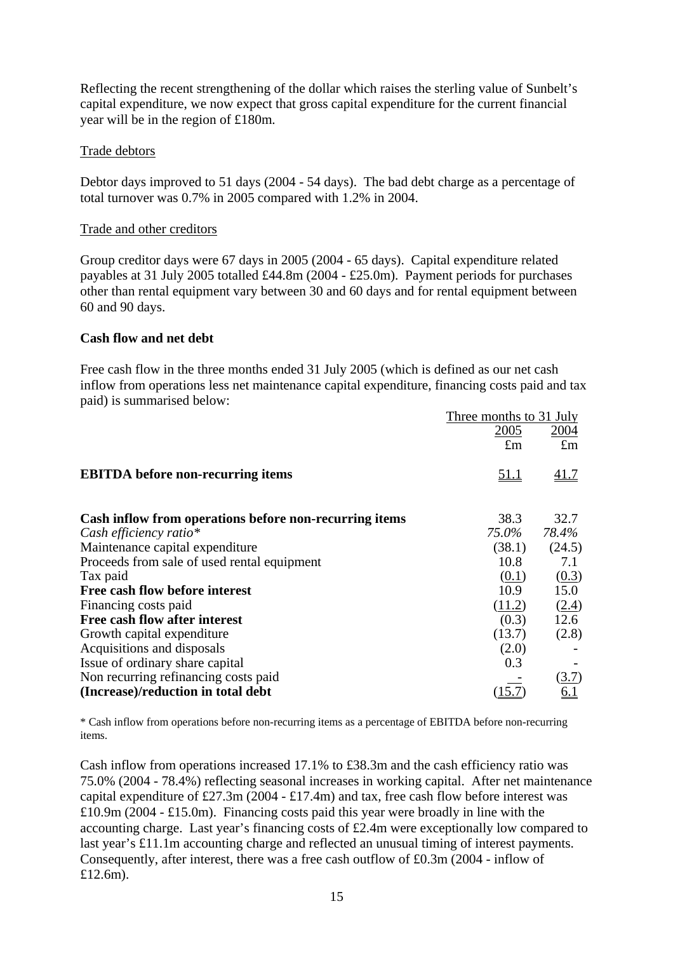Reflecting the recent strengthening of the dollar which raises the sterling value of Sunbelt's capital expenditure, we now expect that gross capital expenditure for the current financial year will be in the region of £180m.

#### Trade debtors

Debtor days improved to 51 days (2004 - 54 days). The bad debt charge as a percentage of total turnover was 0.7% in 2005 compared with 1.2% in 2004.

#### Trade and other creditors

Group creditor days were 67 days in 2005 (2004 - 65 days). Capital expenditure related payables at 31 July 2005 totalled £44.8m (2004 - £25.0m). Payment periods for purchases other than rental equipment vary between 30 and 60 days and for rental equipment between 60 and 90 days.

### **Cash flow and net debt**

Free cash flow in the three months ended 31 July 2005 (which is defined as our net cash inflow from operations less net maintenance capital expenditure, financing costs paid and tax paid) is summarised below:

|                                                        | Three months to 31 July |             |
|--------------------------------------------------------|-------------------------|-------------|
|                                                        | 2005                    | 2004        |
|                                                        | $\pounds$ m             | $\pounds$ m |
| <b>EBITDA</b> before non-recurring items               | <u>51.1</u>             | <u>41.7</u> |
| Cash inflow from operations before non-recurring items | 38.3                    | 32.7        |
| Cash efficiency ratio*                                 | 75.0%                   | 78.4%       |
| Maintenance capital expenditure                        | (38.1)                  | (24.5)      |
| Proceeds from sale of used rental equipment            | 10.8                    | 7.1         |
| Tax paid                                               | (0.1)                   | (0.3)       |
| Free cash flow before interest                         | 10.9                    | 15.0        |
| Financing costs paid                                   | (11.2)                  | (2.4)       |
| Free cash flow after interest                          | (0.3)                   | 12.6        |
| Growth capital expenditure                             | (13.7)                  | (2.8)       |
| Acquisitions and disposals                             | (2.0)                   |             |
| Issue of ordinary share capital                        | 0.3                     |             |
| Non recurring refinancing costs paid                   |                         | (3.7)       |
| (Increase)/reduction in total debt                     |                         | <u>6.1</u>  |

\* Cash inflow from operations before non-recurring items as a percentage of EBITDA before non-recurring items.

Cash inflow from operations increased 17.1% to £38.3m and the cash efficiency ratio was 75.0% (2004 - 78.4%) reflecting seasonal increases in working capital. After net maintenance capital expenditure of £27.3m (2004 - £17.4m) and tax, free cash flow before interest was  $£10.9m (2004 - £15.0m)$ . Financing costs paid this year were broadly in line with the accounting charge. Last year's financing costs of £2.4m were exceptionally low compared to last year's £11.1m accounting charge and reflected an unusual timing of interest payments. Consequently, after interest, there was a free cash outflow of £0.3m (2004 - inflow of £12.6m).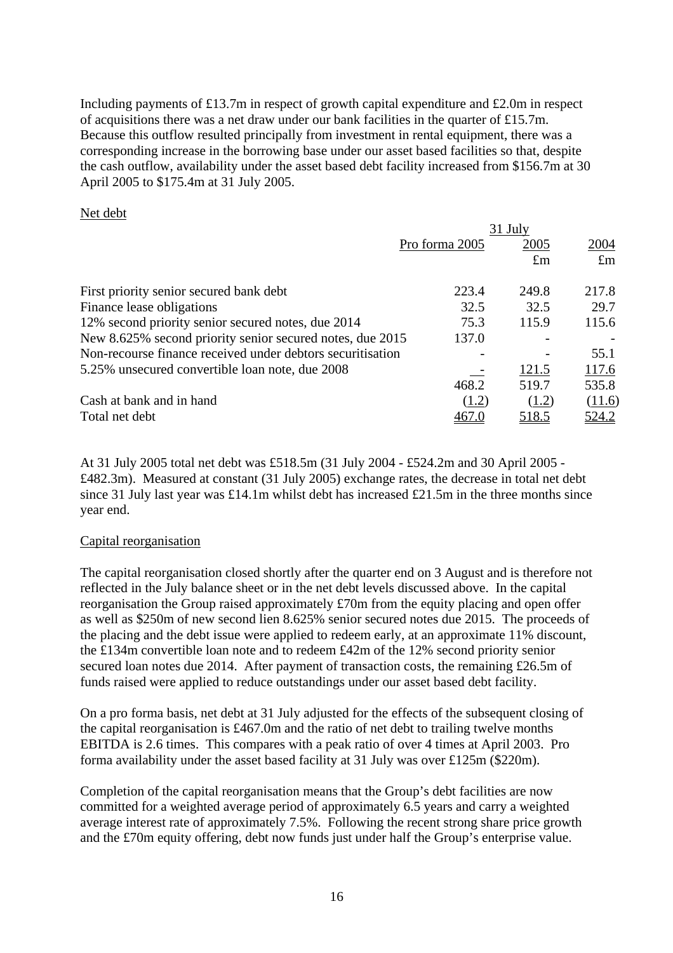Including payments of £13.7m in respect of growth capital expenditure and £2.0m in respect of acquisitions there was a net draw under our bank facilities in the quarter of £15.7m. Because this outflow resulted principally from investment in rental equipment, there was a corresponding increase in the borrowing base under our asset based facilities so that, despite the cash outflow, availability under the asset based debt facility increased from \$156.7m at 30 April 2005 to \$175.4m at 31 July 2005.

#### Net debt

|                                                            | 31 July        |             |             |  |
|------------------------------------------------------------|----------------|-------------|-------------|--|
|                                                            | Pro forma 2005 | 2005        | 2004        |  |
|                                                            |                | $\pounds$ m | $\pounds$ m |  |
| First priority senior secured bank debt                    | 223.4          | 249.8       | 217.8       |  |
| Finance lease obligations                                  | 32.5           | 32.5        | 29.7        |  |
| 12% second priority senior secured notes, due 2014         | 75.3           | 115.9       | 115.6       |  |
| New 8.625% second priority senior secured notes, due 2015  | 137.0          |             |             |  |
| Non-recourse finance received under debtors securitisation |                |             | 55.1        |  |
| 5.25% unsecured convertible loan note, due 2008            |                | 121.5       | 117.6       |  |
|                                                            | 468.2          | 519.7       | 535.8       |  |
| Cash at bank and in hand                                   | (1.2)          | (1.2)       | (11.6)      |  |
| Total net debt                                             |                | 518.5       | 524.2       |  |

At 31 July 2005 total net debt was £518.5m (31 July 2004 - £524.2m and 30 April 2005 - £482.3m). Measured at constant (31 July 2005) exchange rates, the decrease in total net debt since 31 July last year was £14.1m whilst debt has increased £21.5m in the three months since year end.

# Capital reorganisation

The capital reorganisation closed shortly after the quarter end on 3 August and is therefore not reflected in the July balance sheet or in the net debt levels discussed above. In the capital reorganisation the Group raised approximately £70m from the equity placing and open offer as well as \$250m of new second lien 8.625% senior secured notes due 2015. The proceeds of the placing and the debt issue were applied to redeem early, at an approximate 11% discount, the £134m convertible loan note and to redeem £42m of the 12% second priority senior secured loan notes due 2014. After payment of transaction costs, the remaining £26.5m of funds raised were applied to reduce outstandings under our asset based debt facility.

On a pro forma basis, net debt at 31 July adjusted for the effects of the subsequent closing of the capital reorganisation is £467.0m and the ratio of net debt to trailing twelve months EBITDA is 2.6 times. This compares with a peak ratio of over 4 times at April 2003. Pro forma availability under the asset based facility at 31 July was over £125m (\$220m).

Completion of the capital reorganisation means that the Group's debt facilities are now committed for a weighted average period of approximately 6.5 years and carry a weighted average interest rate of approximately 7.5%. Following the recent strong share price growth and the £70m equity offering, debt now funds just under half the Group's enterprise value.